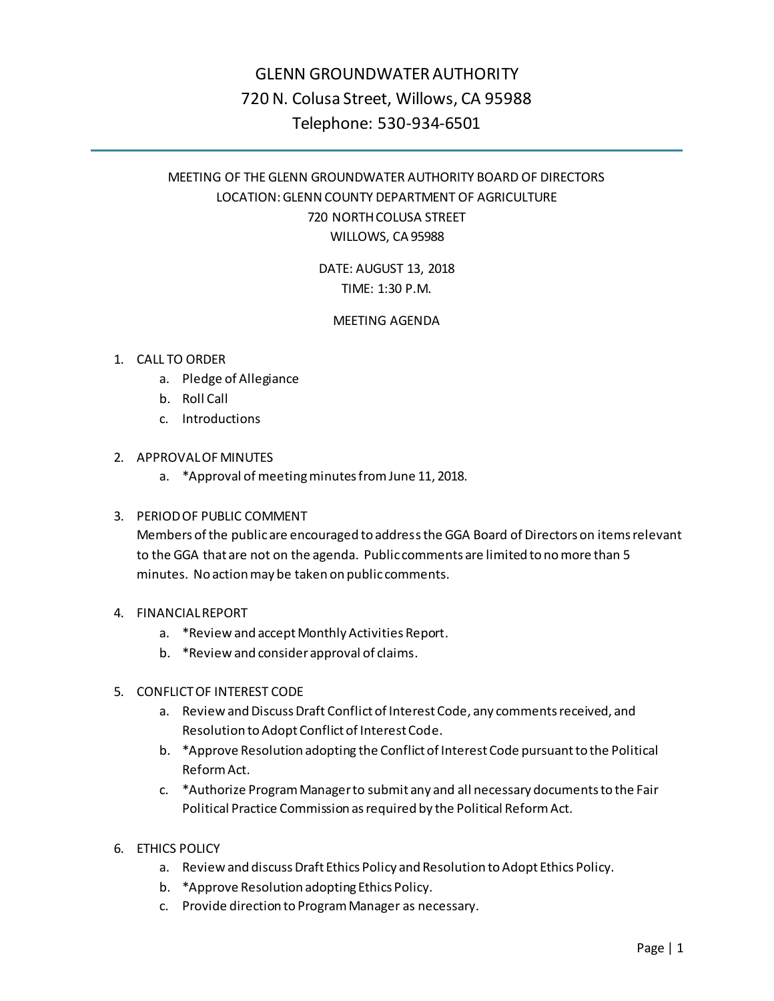# GLENN GROUNDWATER AUTHORITY 720 N. Colusa Street, Willows, CA 95988 Telephone: 530-934-6501

## MEETING OF THE GLENN GROUNDWATER AUTHORITY BOARD OF DIRECTORS LOCATION: GLENN COUNTY DEPARTMENT OF AGRICULTURE 720 NORTH COLUSA STREET WILLOWS, CA 95988

DATE: AUGUST 13, 2018 TIME: 1:30 P.M.

## MEETING AGENDA

## 1. CALL TO ORDER

- a. Pledge of Allegiance
- b. Roll Call
- c. Introductions
- 2. APPROVAL OF MINUTES
	- a. \*Approval of meeting minutes from June 11, 2018.

## 3. PERIOD OF PUBLIC COMMENT

Members of the public are encouraged to address the GGA Board of Directors on items relevant to the GGA that are not on the agenda. Public comments are limited to no more than 5 minutes. No action may be taken on public comments.

### 4. FINANCIAL REPORT

- a. \*Review and accept Monthly Activities Report.
- b. \*Review and consider approval of claims.

## 5. CONFLICT OF INTEREST CODE

- a. Review and Discuss Draft Conflict of Interest Code, any comments received, and Resolution to Adopt Conflict of Interest Code.
- b. \*Approve Resolution adopting the Conflict of Interest Code pursuant to the Political Reform Act.
- c. \*Authorize Program Manager to submit any and all necessary documents to the Fair Political Practice Commission as required by the Political Reform Act.
- 6. ETHICS POLICY
	- a. Review and discuss Draft Ethics Policy and Resolution to Adopt Ethics Policy.
	- b. \*Approve Resolution adopting Ethics Policy.
	- c. Provide direction to Program Manager as necessary.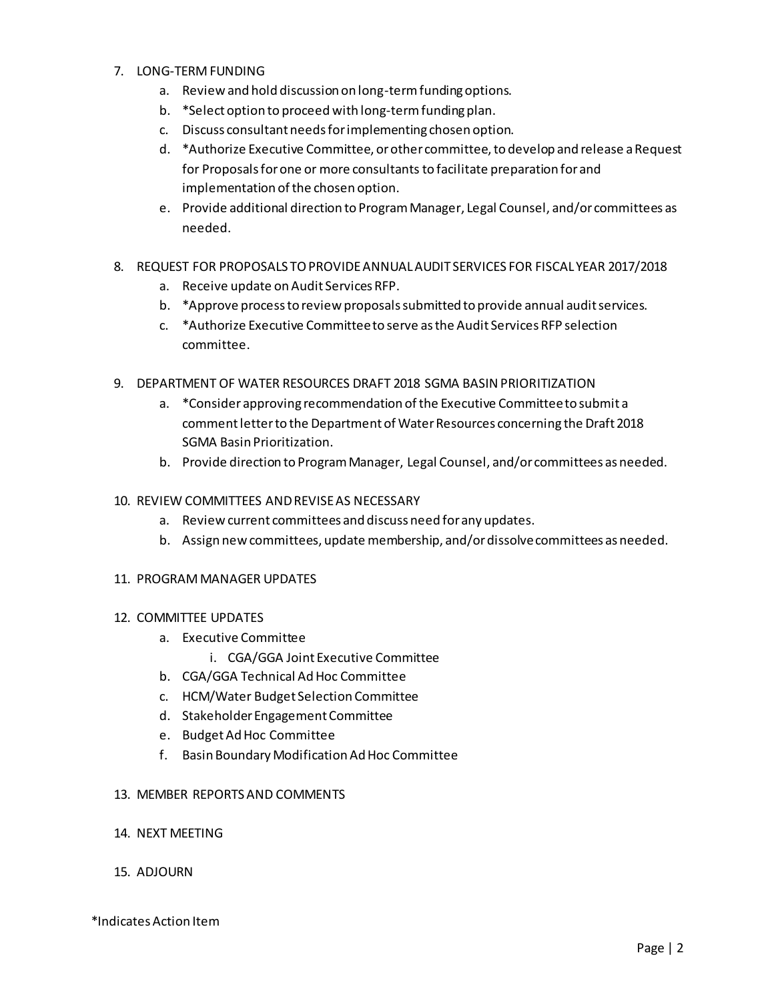#### 7. LONG-TERM FUNDING

- a. Review and hold discussion on long-term funding options.
- b. \*Select option to proceed with long-term funding plan.
- c. Discuss consultant needs for implementing chosen option.
- d. \*Authorize Executive Committee, or other committee, to develop and release a Request for Proposals for one or more consultants to facilitate preparation for and implementation of the chosen option.
- e. Provide additional direction to Program Manager, Legal Counsel, and/or committees as needed.
- 8. REQUEST FOR PROPOSALS TO PROVIDEANNUAL AUDIT SERVICES FOR FISCAL YEAR 2017/2018
	- a. Receive update on Audit Services RFP.
	- b. \*Approve process to review proposals submitted to provide annual audit services.
	- c. \*Authorize Executive Committee to serve as the Audit Services RFP selection committee.
- 9. DEPARTMENT OF WATER RESOURCES DRAFT 2018 SGMA BASIN PRIORITIZATION
	- a. \*Consider approving recommendation of the Executive Committee to submit a comment letter to the Department of Water Resources concerning the Draft 2018 SGMA Basin Prioritization.
	- b. Provide direction to Program Manager, Legal Counsel, and/or committees as needed.
- 10. REVIEW COMMITTEES AND REVISE AS NECESSARY
	- a. Review current committees and discuss need for any updates.
	- b. Assign new committees, update membership, and/or dissolve committees as needed.

### 11. PROGRAM MANAGER UPDATES

### 12. COMMITTEE UPDATES

- a. Executive Committee
	- i. CGA/GGA Joint Executive Committee
- b. CGA/GGA Technical Ad Hoc Committee
- c. HCM/Water Budget Selection Committee
- d. Stakeholder Engagement Committee
- e. Budget Ad Hoc Committee
- f. Basin Boundary Modification Ad Hoc Committee

### 13. MEMBER REPORTS AND COMMENTS

- 14. NEXT MEETING
- 15. ADJOURN

\*Indicates Action Item